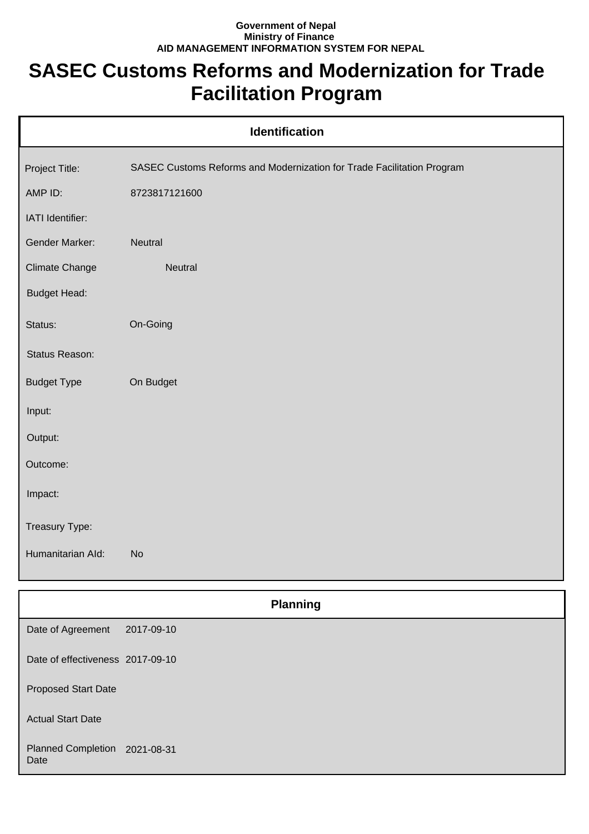## **Government of Nepal Ministry of Finance AID MANAGEMENT INFORMATION SYSTEM FOR NEPAL**

## **SASEC Customs Reforms and Modernization for Trade Facilitation Program**

| <b>Identification</b> |                                                                        |  |
|-----------------------|------------------------------------------------------------------------|--|
| Project Title:        | SASEC Customs Reforms and Modernization for Trade Facilitation Program |  |
| AMP ID:               | 8723817121600                                                          |  |
| IATI Identifier:      |                                                                        |  |
| <b>Gender Marker:</b> | Neutral                                                                |  |
| <b>Climate Change</b> | Neutral                                                                |  |
| <b>Budget Head:</b>   |                                                                        |  |
| Status:               | On-Going                                                               |  |
| Status Reason:        |                                                                        |  |
| <b>Budget Type</b>    | On Budget                                                              |  |
| Input:                |                                                                        |  |
| Output:               |                                                                        |  |
| Outcome:              |                                                                        |  |
| Impact:               |                                                                        |  |
| Treasury Type:        |                                                                        |  |
| Humanitarian Ald:     | <b>No</b>                                                              |  |
|                       |                                                                        |  |
|                       | <b>Planning</b>                                                        |  |
| Date of Agreement     | 2017-09-10                                                             |  |

| Date of effectiveness 2017-09-10 |  |
|----------------------------------|--|
|----------------------------------|--|

Proposed Start Date

Actual Start Date

Planned Completion 2021-08-31 Date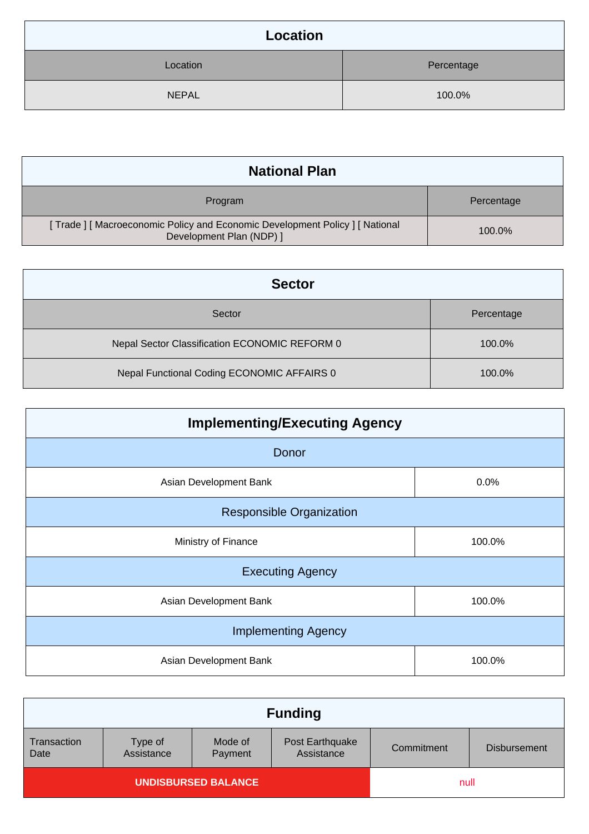| Location     |            |  |
|--------------|------------|--|
| Location     | Percentage |  |
| <b>NEPAL</b> | 100.0%     |  |

| <b>National Plan</b>                                                                                 |            |
|------------------------------------------------------------------------------------------------------|------------|
| Program                                                                                              | Percentage |
| [Trade] [Macroeconomic Policy and Economic Development Policy] [National<br>Development Plan (NDP) ] | 100.0%     |

| <b>Sector</b>                                 |            |
|-----------------------------------------------|------------|
| Sector                                        | Percentage |
| Nepal Sector Classification ECONOMIC REFORM 0 | 100.0%     |
| Nepal Functional Coding ECONOMIC AFFAIRS 0    | 100.0%     |

| <b>Implementing/Executing Agency</b> |        |  |
|--------------------------------------|--------|--|
| Donor                                |        |  |
| Asian Development Bank               | 0.0%   |  |
| <b>Responsible Organization</b>      |        |  |
| Ministry of Finance                  | 100.0% |  |
| <b>Executing Agency</b>              |        |  |
| Asian Development Bank               | 100.0% |  |
| <b>Implementing Agency</b>           |        |  |
| Asian Development Bank               | 100.0% |  |

|                            |                       |                    | <b>Funding</b>                |            |                     |
|----------------------------|-----------------------|--------------------|-------------------------------|------------|---------------------|
| Transaction<br>Date        | Type of<br>Assistance | Mode of<br>Payment | Post Earthquake<br>Assistance | Commitment | <b>Disbursement</b> |
| <b>UNDISBURSED BALANCE</b> |                       | null               |                               |            |                     |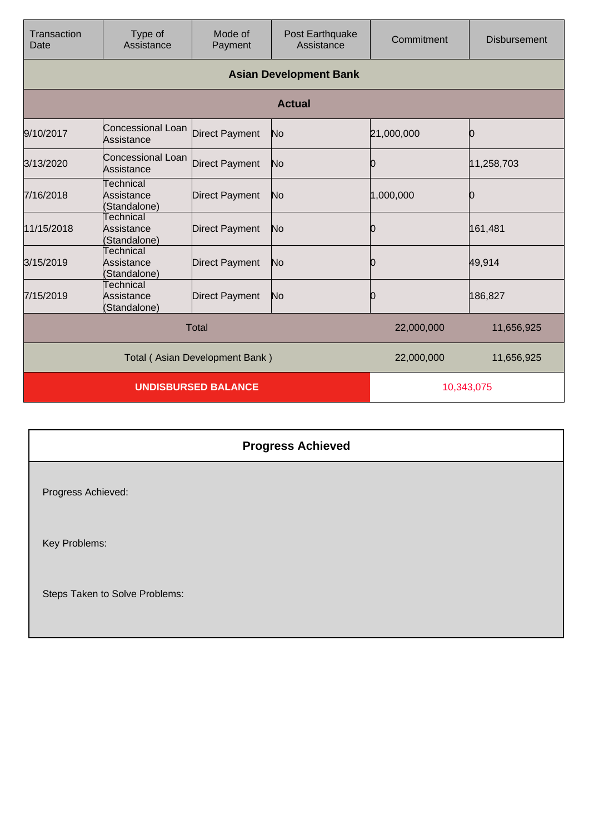| Transaction<br>Date            | Type of<br>Assistance                   | Mode of<br>Payment    | Post Earthquake<br>Assistance | Commitment | <b>Disbursement</b> |
|--------------------------------|-----------------------------------------|-----------------------|-------------------------------|------------|---------------------|
|                                |                                         |                       | <b>Asian Development Bank</b> |            |                     |
|                                |                                         |                       | <b>Actual</b>                 |            |                     |
| 9/10/2017                      | Concessional Loan<br>Assistance         | <b>Direct Payment</b> | No                            | 21,000,000 | Ю                   |
| 3/13/2020                      | Concessional Loan<br>Assistance         | <b>Direct Payment</b> | No                            | 0          | 11,258,703          |
| 7/16/2018                      | Technical<br>Assistance<br>(Standalone) | <b>Direct Payment</b> | No                            | 1,000,000  | Ŋ                   |
| 11/15/2018                     | Technical<br>Assistance<br>(Standalone) | <b>Direct Payment</b> | No                            | 0          | 161,481             |
| 3/15/2019                      | Technical<br>Assistance<br>(Standalone) | <b>Direct Payment</b> | No                            | 0          | 49,914              |
| 7/15/2019                      | Technical<br>Assistance<br>(Standalone) | <b>Direct Payment</b> | No                            | Ю          | 186,827             |
| <b>Total</b>                   |                                         |                       | 22,000,000                    | 11,656,925 |                     |
| Total (Asian Development Bank) |                                         |                       | 22,000,000                    | 11,656,925 |                     |
|                                | <b>UNDISBURSED BALANCE</b>              |                       |                               | 10,343,075 |                     |

## **Progress Achieved** Progress Achieved: Key Problems: Steps Taken to Solve Problems: